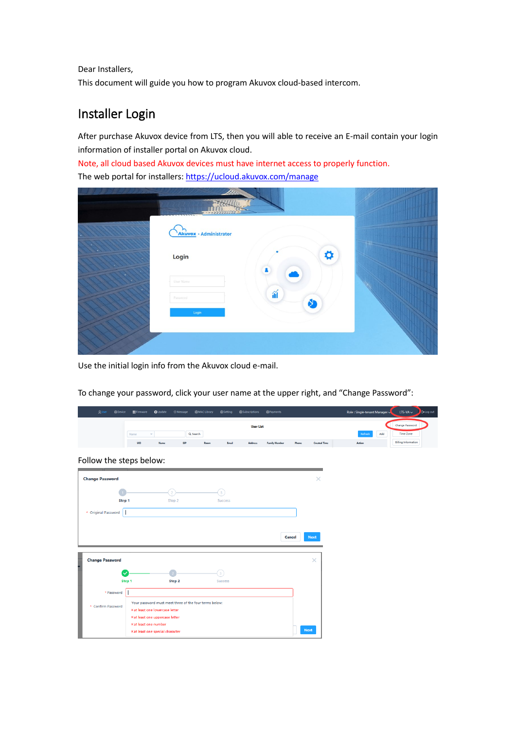Dear Installers,

This document will guide you how to program Akuvox cloud-based intercom.

# Installer Login

After purchase Akuvox device from LTS, then you will able to receive an E-mail contain your login information of installer portal on Akuvox cloud.

Note, all cloud based Akuvox devices must have internet access to properly function. The web portal for installers[: https://ucloud.akuvox.com/manage](https://ucloud.akuvox.com/manage)

| --------------<br><b>Akuvox</b> · Administrator |                               |  |
|-------------------------------------------------|-------------------------------|--|
| Login                                           | ø<br>2                        |  |
| User Name<br>Password<br>Login                  | $\widetilde{\mathbb{1}}$<br>¢ |  |
|                                                 |                               |  |

Use the initial login info from the Akuvox cloud e-mail.

To change your password, click your user name at the upper right, and "Change Password":

| <b>Q</b> User<br><b>SDevice</b> | <b>Ex Firmware</b>                                                                           | <b>Q</b> Update      | <b>O</b> Message | <b>&amp;MAC Library</b>                                | <b>&amp;Setting</b> | <b>&amp;Subscriptions</b>          | <b>您Payments</b>     |        |                     | Role: Single-tenant Manager |     | <b>LTS-VA <math>\sim</math></b>                                          | E+Log out |
|---------------------------------|----------------------------------------------------------------------------------------------|----------------------|------------------|--------------------------------------------------------|---------------------|------------------------------------|----------------------|--------|---------------------|-----------------------------|-----|--------------------------------------------------------------------------|-----------|
|                                 | Name<br><b>UID</b>                                                                           | $\mathbf{w}$<br>Name | <b>SIP</b>       | Q Search<br>Room                                       | Email               | <b>User List</b><br><b>Address</b> | <b>Family Member</b> | Phone  | <b>Created Time</b> | Refresh<br>Action           | Add | <b>Change Password</b><br><b>Time Zone</b><br><b>Billing Information</b> |           |
| Follow the steps below:         |                                                                                              |                      |                  |                                                        |                     |                                    |                      |        |                     |                             |     |                                                                          |           |
| <b>Change Password</b>          |                                                                                              |                      |                  |                                                        |                     |                                    |                      |        | $\times$            |                             |     |                                                                          |           |
| Step 1                          |                                                                                              |                      | Step 2           |                                                        | <b>Success</b>      |                                    |                      |        |                     |                             |     |                                                                          |           |
| * Original Password             |                                                                                              |                      |                  |                                                        |                     |                                    |                      |        |                     |                             |     |                                                                          |           |
|                                 |                                                                                              |                      |                  |                                                        |                     |                                    |                      | Cancel | <b>Next</b>         |                             |     |                                                                          |           |
| <b>Change Password</b>          |                                                                                              |                      |                  |                                                        |                     |                                    |                      |        | $\times$            |                             |     |                                                                          |           |
|                                 | Step 1                                                                                       |                      | Step 2           |                                                        | Success             |                                    |                      |        |                     |                             |     |                                                                          |           |
| * Password                      |                                                                                              |                      |                  |                                                        |                     |                                    |                      |        |                     |                             |     |                                                                          |           |
| * Confirm Password              | × at least one lowercase letter                                                              |                      |                  | Your password must meet three of the four terms below: |                     |                                    |                      |        |                     |                             |     |                                                                          |           |
|                                 | × at least one uppercase letter<br>× at least one number<br>× at least one special character |                      |                  |                                                        |                     |                                    |                      |        | <b>Next</b>         |                             |     |                                                                          |           |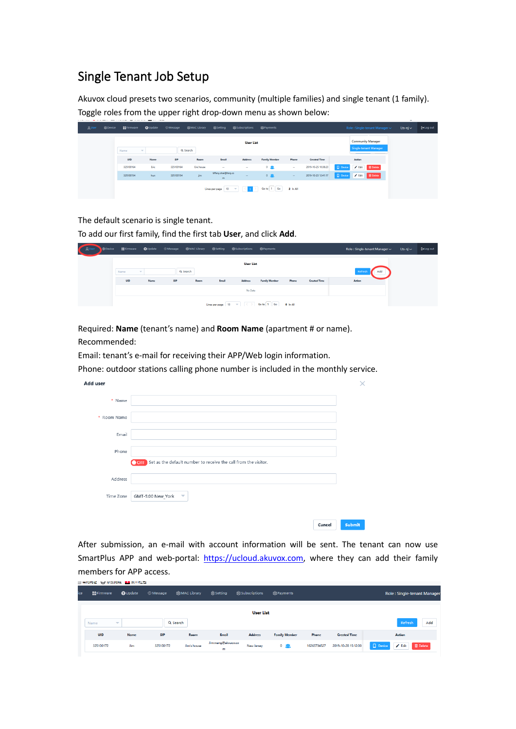## Single Tenant Job Setup

Akuvox cloud presets two scenarios, community (multiple families) and single tenant (1 family). Toggle roles from the upper right drop-down menu as shown below:

| <b>QUser</b> | @ Device | <b>Ex Firmware</b> | <b>O</b> Update | <b>Message</b> | <b>您MAC Library</b> | 8Setting                   | \$3 Subscriptions | <b>密Payments</b>     |          |                     |               |          | Role: Single-tenant Manager $\sim$                       | Lts-nj $\sim$ | [+Log out |
|--------------|----------|--------------------|-----------------|----------------|---------------------|----------------------------|-------------------|----------------------|----------|---------------------|---------------|----------|----------------------------------------------------------|---------------|-----------|
|              |          | Name               | $\sim$          |                | Q Search            |                            | <b>User List</b>  |                      |          |                     |               |          | <b>Community Manager</b><br><b>Single-tenant Manager</b> |               |           |
|              |          | UID                | Name            | SIP            | Room                | Email                      | <b>Address</b>    | <b>Family Member</b> | Phone    | <b>Created Time</b> |               | Action   |                                                          |               |           |
|              |          | 325100164          | Eric            | 325100164      | <b>Eric</b> house   | $\sim$                     | $\sim$            | $0$ $\Omega$         | $\sim$   | 2019-10-25 10:38:23 | $\Box$ Device | $P$ Edit | <b>B</b> Delete                                          |               |           |
|              |          | 325100154          | hun             | 325100154      | jim                 | tiffany.zhai@Itsnj.co<br>m | $\sim$            | $0$ $\Omega$         | $\sim$   | 2019-10-23 12:41:17 | $\Box$ Device |          | B Delete                                                 |               |           |
|              |          |                    |                 |                |                     | Lines per page 10 =        |                   | Go to 1 Go           | 2 In All |                     |               |          |                                                          |               |           |

The default scenario is single tenant.

To add our first family, find the first tab **User**, and click **Add**.

| <b>A</b> User<br>SB Device |      |             |     |          |       | ■ #Firmware ●Update ⊙Message @MACLibrary @Setting @Subscriptions @Payments |                      |       |                     | Role: Single-tenant Manager ~ | Lts-nj $\sim$ | [→ Log out |
|----------------------------|------|-------------|-----|----------|-------|----------------------------------------------------------------------------|----------------------|-------|---------------------|-------------------------------|---------------|------------|
|                            | Name | $\sim$      |     | Q Search |       | <b>User List</b>                                                           |                      |       |                     | Refresh<br>Add                |               |            |
|                            | UID  | <b>Name</b> | SIP | Room     | Email | Address<br>No Data                                                         | <b>Family Member</b> | Phone | <b>Created Time</b> | Action                        |               |            |
|                            |      |             |     |          |       | Lines per page   10 = ( C )   Go to   1   Go   0 In All                    |                      |       |                     |                               |               |            |

Required: **Name** (tenant's name) and **Room Name** (apartment # or name). Recommended:

Email: tenant's e-mail for receiving their APP/Web login information.

Phone: outdoor stations calling phone number is included in the monthly service.

| Add user    |                                                                     | ×      |  |
|-------------|---------------------------------------------------------------------|--------|--|
| * Name      |                                                                     |        |  |
| * Room Name |                                                                     |        |  |
| Email       |                                                                     |        |  |
| Phone       |                                                                     |        |  |
|             | OFF Set as the default number to receive the call from the visitor. |        |  |
| Address     |                                                                     |        |  |
| Time Zone   | GMT-5:00 New_York<br>$\overline{\mathbf{v}}$                        |        |  |
|             |                                                                     |        |  |
|             | Cancel                                                              | Submit |  |

After submission, an e-mail with account information will be sent. The tenant can now use SmartPlus APP and web-portal: [https://ucloud.akuvox.com,](https://ucloud.akuvox.com/) where they can add their family members for APP access.

|     | SHORTHAI A ANTHONY A WILLIAM |                          |                  |              |                         |                    |                      |             |                     |                                |                            |
|-----|------------------------------|--------------------------|------------------|--------------|-------------------------|--------------------|----------------------|-------------|---------------------|--------------------------------|----------------------------|
| ice | <b>■ Firmware</b>            | <b>O</b> Update          | <b>O</b> Message | 您MAC Library | @ Setting               | Sols Subscriptions | <b>您Payments</b>     |             |                     |                                | Role: Single-tenant Manage |
|     | Name                         | $\overline{\phantom{a}}$ |                  | Q Search     |                         | <b>User List</b>   |                      |             |                     |                                | Refresh<br>Add             |
|     | UID                          | Name                     | <b>SIP</b>       | <b>Room</b>  | Email                   | <b>Address</b>     | <b>Family Member</b> | Phone       | <b>Created Time</b> | <b>Action</b>                  |                            |
|     | 325100172                    | <b>Jim</b>               | 325100172        | Jim's house  | Jim.wang@akvuox.co<br>m | New Jersey         | 0, 92                | 16263734527 | 2019-10-28 15:12:00 | $\Box$ Device<br>$\angle$ Edit | <b>B</b> Delete            |
|     |                              |                          |                  |              |                         |                    |                      |             |                     |                                |                            |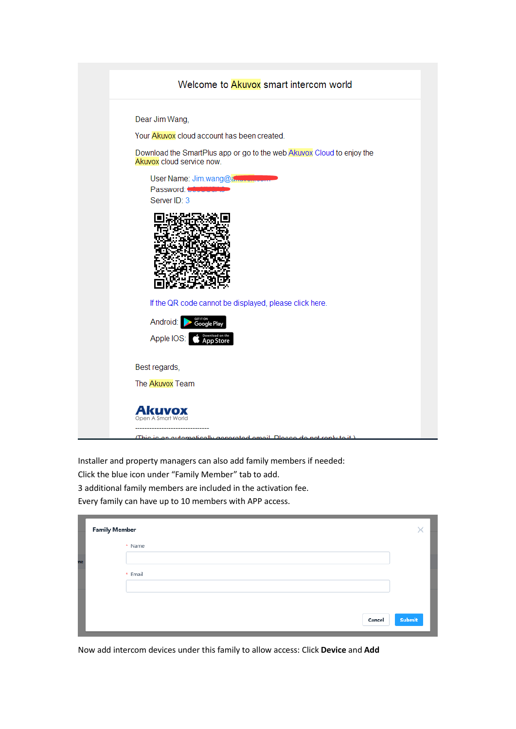|                | Welcome to Akuvox smart intercom world                                                             |
|----------------|----------------------------------------------------------------------------------------------------|
| Dear Jim Wang, |                                                                                                    |
|                | Your Akuvox cloud account has been created.                                                        |
|                | Download the SmartPlus app or go to the web Akuvox Cloud to enjoy the<br>Akuvox cloud service now. |
|                | User Name: Jim.wang@a<br>Password:<br>Server ID: 3                                                 |
|                |                                                                                                    |
|                | If the QR code cannot be displayed, please click here.                                             |
|                | Android:                                                                                           |
|                | Apple IOS:                                                                                         |
| Best regards,  |                                                                                                    |
|                | The Akuvox Team                                                                                    |
|                |                                                                                                    |
|                |                                                                                                    |

Installer and property managers can also add family members if needed: Click the blue icon under "Family Member" tab to add. 3 additional family members are included in the activation fee. Every family can have up to 10 members with APP access.

|    | <b>Family Member</b> |         |        |        |
|----|----------------------|---------|--------|--------|
|    |                      | * Name  |        |        |
| ne |                      |         |        |        |
|    |                      | * Email |        |        |
|    |                      |         |        |        |
|    |                      |         |        |        |
|    |                      |         | Cancel | Submit |

Now add intercom devices under this family to allow access: Click **Device** and **Add**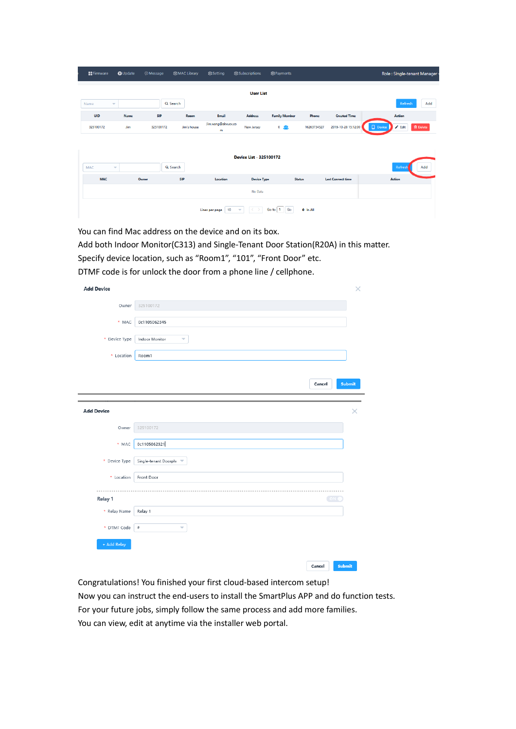| <b>E</b> tFirmware | O Update                 | O Message | <b>総MAC Library</b> | <b>怨Setting</b>         | 袋Subscriptions          | <b>袋Payments</b>     |             |                          | Role: Single-tenant Manager    |                 |
|--------------------|--------------------------|-----------|---------------------|-------------------------|-------------------------|----------------------|-------------|--------------------------|--------------------------------|-----------------|
|                    |                          |           |                     |                         | <b>User List</b>        |                      |             |                          |                                |                 |
| Name               | $\overline{\phantom{a}}$ |           | Q Search            |                         |                         |                      |             |                          | Refresh                        | Add             |
| UID                | <b>Name</b>              | SIP       | Room                | Email                   | <b>Address</b>          | <b>Family Member</b> | Phone       | <b>Created Time</b>      | Action                         |                 |
| 325100172          | <b>Jim</b>               | 325100172 | Jim's house         | Jim.wang@akvuox.co<br>m | <b>New Jersey</b>       | 0 <sub>52</sub>      | 16263734527 | 2019-10-28 15:12:00      | <b>Device</b><br>$\angle$ Edit | <b>B</b> Delete |
|                    |                          |           |                     |                         |                         |                      |             |                          |                                |                 |
|                    |                          |           |                     |                         | Device List - 325100172 |                      |             |                          |                                |                 |
| <b>MAC</b>         | $\overline{\mathbf{v}}$  |           | Q Search            |                         |                         |                      |             |                          | Refresh                        | Add             |
| <b>MAC</b>         |                          | Owner     | SIP                 | Location                | <b>Device Type</b>      | <b>Status</b>        |             | <b>Last Connect time</b> | <b>Action</b>                  |                 |
|                    |                          |           |                     |                         | No Data                 |                      |             |                          |                                |                 |
|                    |                          |           |                     | 10<br>Lines per page    | ▼                       | Go<br>Go to 1        | $0$ In All  |                          |                                |                 |

You can find Mac address on the device and on its box.

Add both Indoor Monitor(C313) and Single-Tenant Door Station(R20A) in this matter.

Specify device location, such as "Room1", "101", "Front Door" etc.

DTMF code is for unlock the door from a phone line / cellphone.

| <b>Add Device</b> | ×                                          |
|-------------------|--------------------------------------------|
| Owner             | 325100172                                  |
| * MAC             | 0c1105062345                               |
| * Device Type     | Indoor Monitor<br>$\overline{\phantom{0}}$ |
| * Location        | Room1                                      |
|                   |                                            |
|                   | Submit<br>Cancel                           |
|                   |                                            |
| <b>Add Device</b> | ×                                          |
| Owner             | 325100172                                  |
| * MAC             | 0c1105062321                               |
| * Device Type     | Single-tenant Doorph <a></a>               |
| * Location        | Front Door                                 |
|                   |                                            |
| Relay 1           | ON                                         |
| * Relay Name      | Relay 1                                    |
| * DTMF Code       | $\#$<br>$\overline{\phantom{0}}$           |
| + Add Relay       |                                            |
|                   |                                            |
|                   | Submit<br>Cancel                           |

Congratulations! You finished your first cloud-based intercom setup!

Now you can instruct the end-users to install the SmartPlus APP and do function tests. For your future jobs, simply follow the same process and add more families. You can view, edit at anytime via the installer web portal.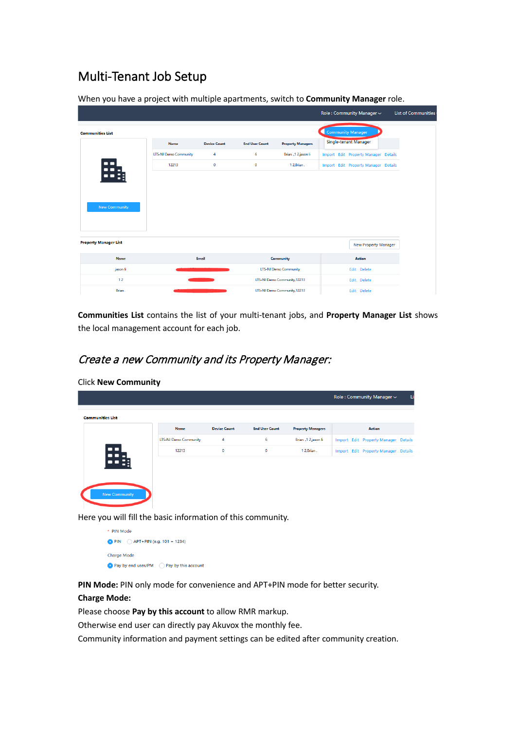## Multi-Tenant Job Setup

|                              |                              |                     |                       |                              |                          | Role: Community Manager ~                   | List of Communities |
|------------------------------|------------------------------|---------------------|-----------------------|------------------------------|--------------------------|---------------------------------------------|---------------------|
| <b>Communities List</b>      |                              |                     |                       |                              | <b>Community Manager</b> |                                             |                     |
|                              | <b>Name</b>                  | <b>Device Count</b> | <b>End User Count</b> | <b>Property Managers</b>     |                          | Single-tenant Manager                       |                     |
|                              | <b>LTS-NJ Demo Community</b> | 4                   | 6                     | Brian "1 2.jason li          |                          | <b>Import Edit Property Manager Details</b> |                     |
| 85                           | 12213                        | $\circ$             | $\mathbf{0}$          | 12.Brian.                    |                          | <b>Import Edit Property Manager Details</b> |                     |
|                              |                              |                     |                       |                              |                          |                                             |                     |
|                              |                              |                     |                       |                              |                          |                                             |                     |
|                              |                              |                     |                       |                              |                          |                                             |                     |
| <b>New Community</b>         |                              |                     |                       |                              |                          |                                             |                     |
|                              |                              |                     |                       |                              |                          |                                             |                     |
|                              |                              |                     |                       |                              |                          |                                             |                     |
| <b>Property Manager List</b> |                              |                     |                       |                              |                          | <b>New Property Manager</b>                 |                     |
| <b>Name</b>                  |                              | <b>Email</b>        |                       | Community                    |                          | <b>Action</b>                               |                     |
| jason li                     |                              |                     |                       | <b>LTS-NJ Demo Community</b> |                          | Edit Delete                                 |                     |
| 12                           |                              |                     |                       | LTS-NJ Demo Community, 12213 |                          | Edit Delete                                 |                     |
| Brian.                       |                              |                     |                       | LTS-NJ Demo Community, 12213 |                          | Edit Delete                                 |                     |

When you have a project with multiple apartments, switch to **Community Manager** role.

**Communities List** contains the list of your multi-tenant jobs, and **Property Manager List** shows the local management account for each job.

### Create a new Community and its Property Manager:

|                              |                     |                       |                          | Role: Community Manager ~ |                                                                              |
|------------------------------|---------------------|-----------------------|--------------------------|---------------------------|------------------------------------------------------------------------------|
|                              |                     |                       |                          |                           |                                                                              |
| Name                         | <b>Device Count</b> | <b>End User Count</b> | <b>Property Managers</b> | Action                    |                                                                              |
| <b>LTS-NJ Demo Community</b> | 4                   | 6                     | Brian "1 2.jason li      |                           |                                                                              |
| 12213                        | $\mathbf 0$         | $\mathbf 0$           | 12, Brian.               |                           |                                                                              |
|                              |                     |                       |                          |                           |                                                                              |
|                              |                     |                       |                          |                           |                                                                              |
|                              |                     |                       |                          |                           |                                                                              |
|                              |                     |                       |                          |                           |                                                                              |
|                              |                     |                       |                          |                           |                                                                              |
|                              |                     |                       |                          |                           | Import Edit Property Manager Details<br>Import Edit Property Manager Details |

Click **New Community**

Here you will fill the basic information of this community.

\* PIN Mode • PIN  $\bigcirc$  APT+PIN (e.g. 101 + 1234) Charge Mode Pay by end user/PM Pay by this account

**PIN Mode:** PIN only mode for convenience and APT+PIN mode for better security.

#### **Charge Mode:**

Please choose **Pay by this account** to allow RMR markup.

Otherwise end user can directly pay Akuvox the monthly fee.

Community information and payment settings can be edited after community creation.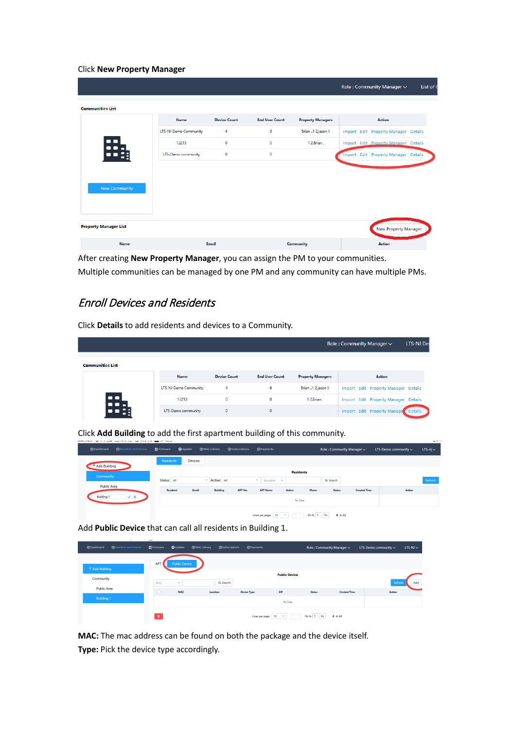#### Click **New Property Manager**

|                              |                              |                     |                       |                          | Role: Community Manager ~            | List of 0 |
|------------------------------|------------------------------|---------------------|-----------------------|--------------------------|--------------------------------------|-----------|
| <b>Communities List</b>      |                              |                     |                       |                          |                                      |           |
|                              | <b>Name</b>                  | <b>Device Count</b> | <b>End User Count</b> | <b>Property Managers</b> | <b>Action</b>                        |           |
|                              | <b>LTS-NJ Demo Community</b> | 4                   | 6                     | Brian "1 2.jason li      | Import Edit Property Manager Details |           |
| 鴨                            | 12213                        | $\mathbf 0$         | $\mathbf 0$           | 12, Brian.               | Import Edit Property Manager Details |           |
|                              | LTS-Demo community           | $\mathbf 0$         | $\mathbf 0$           |                          | Import Edit Property Manager Details |           |
|                              |                              |                     |                       |                          |                                      |           |
|                              |                              |                     |                       |                          |                                      |           |
| New Community                |                              |                     |                       |                          |                                      |           |
|                              |                              |                     |                       |                          |                                      |           |
|                              |                              |                     |                       |                          |                                      |           |
| <b>Property Manager List</b> |                              |                     |                       |                          | <b>New Property Manager</b>          |           |
| <b>Name</b>                  |                              | Email               |                       | Community                | Action                               |           |

After creating **New Property Manager**, you can assign the PM to your communities. Multiple communities can be managed by one PM and any community can have multiple PMs.

### Enroll Devices and Residents

Click **Details** to add residents and devices to a Community.

|                         |                              |                     |                       |                          | Role: Community Manager ~            | <b>LTS-NJ Der</b> |
|-------------------------|------------------------------|---------------------|-----------------------|--------------------------|--------------------------------------|-------------------|
| <b>Communities List</b> |                              |                     |                       |                          |                                      |                   |
|                         | Name                         | <b>Device Count</b> | <b>End User Count</b> | <b>Property Managers</b> | <b>Action</b>                        |                   |
|                         | <b>LTS-NJ Demo Community</b> | 4                   | 6                     | Brian "1 2,jason li      | Import Edit Property Manager Details |                   |
| æ.,                     | 12213                        | $\circ$             | $\circ$               | 12, Brian.               | Import Edit Property Manager Details |                   |
|                         | LTS-Demo community           | $\circ$             | $\mathbf 0$           |                          | <b>Import Edit Property Manage</b>   | <b>Details</b>    |

Click **Add Building** to add the first apartment building of this community.

| <b>SResident and Device</b><br><b>@Dashboard</b> | <b>韓Firmware</b> | <b>怨MAC Library</b><br><b>O</b> Update | <b>怨Subscriptions</b>      | 怨Payments                                       |                                              |            | Role: Community Manager ~ |                     | LTS-Demo community $\sim$ | $LTS-nj \sim$ |
|--------------------------------------------------|------------------|----------------------------------------|----------------------------|-------------------------------------------------|----------------------------------------------|------------|---------------------------|---------------------|---------------------------|---------------|
| Add Building                                     | Residents        | Devices                                |                            |                                                 |                                              |            |                           |                     |                           |               |
| Community                                        | Status: All      | $\overline{\phantom{a}}$               | Active: All                | $\sim$ 11<br>Resident                           | <b>Residents</b><br>$\overline{\phantom{a}}$ |            | Q Search                  |                     |                           | Refresh       |
| <b>Public Area</b>                               | Resident         | Email                                  | APT No.<br><b>Building</b> | <b>APT Name</b>                                 | Active                                       | Phone      | <b>Status</b>             | <b>Created Time</b> | Action                    |               |
| $\vee$ x<br><b>Building 1</b>                    |                  |                                        |                            |                                                 | No Data                                      |            |                           |                     |                           |               |
|                                                  |                  |                                        |                            | lines per page $ 10 - \pi $ $  \langle \rangle$ |                                              | Go to 1 Go | $0.16 \text{ AU}$         |                     |                           |               |

Add **Public Device** that can call all residents in Building 1.

| <b>您Dashboard</b>  | <b>183 Resident and Device</b> | <b>Ex Firmware</b> | <b>Q</b> Update          | <b>&amp;MAC Library</b> | 83Subscriptions | 83 Payments        |                                                                  | Role: Community Manager ~ |                     | LTS-Demo community $\sim$ | $LTS-NJ \sim$  |
|--------------------|--------------------------------|--------------------|--------------------------|-------------------------|-----------------|--------------------|------------------------------------------------------------------|---------------------------|---------------------|---------------------------|----------------|
|                    |                                | <b>APT</b>         | <b>Public Device</b>     |                         |                 |                    |                                                                  |                           |                     |                           |                |
| + Add Building     |                                |                    |                          |                         |                 |                    | <b>Public Device</b>                                             |                           |                     |                           |                |
| Community          |                                | MAC                | $\overline{\phantom{a}}$ |                         | Q Search        |                    |                                                                  |                           |                     |                           | Add<br>Refresh |
| <b>Public Area</b> |                                | $\Box$             | <b>MAC</b>               |                         | Location        | <b>Device Type</b> | SIP                                                              | <b>Status</b>             | <b>Created Time</b> | Action                    |                |
| <b>Building 1</b>  |                                |                    |                          |                         |                 |                    | No Data                                                          |                           |                     |                           |                |
|                    |                                | 盲                  |                          |                         |                 | Lines per page     | $\langle \rangle$<br>10 <sup>°</sup><br>$\overline{\phantom{a}}$ | Go to 1 Go                | $0$ In All          |                           |                |

**MAC:** The mac address can be found on both the package and the device itself. **Type:** Pick the device type accordingly.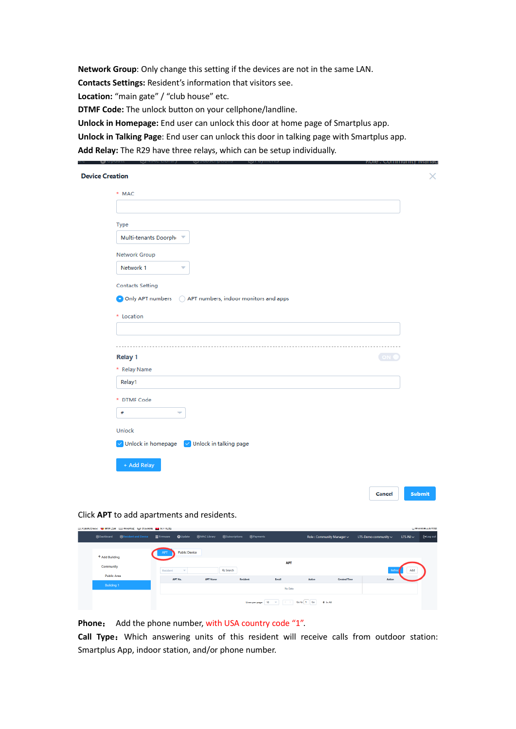**Network Group**: Only change this setting if the devices are not in the same LAN. **Contacts Settings:** Resident's information that visitors see. Location: "main gate" / "club house" etc. **DTMF Code:** The unlock button on your cellphone/landline. **Unlock in Homepage:** End user can unlock this door at home page of Smartplus app. **Unlock in Talking Page**: End user can unlock this door in talking page with Smartplus app.

**Add Relay:** The R29 have three relays, which can be setup individually.

| * MAC                                                        |      |
|--------------------------------------------------------------|------|
|                                                              |      |
|                                                              |      |
| Type                                                         |      |
| Multi-tenants Doorphi                                        |      |
| Network Group                                                |      |
| Network 1<br>$\overline{\phantom{a}}$                        |      |
| <b>Contacts Setting</b>                                      |      |
|                                                              |      |
| O Only APT numbers (C) APT numbers, indoor monitors and apps |      |
| * Location                                                   |      |
|                                                              |      |
|                                                              |      |
| <b>Relay 1</b>                                               | ON 1 |
| * Relay Name                                                 |      |
|                                                              |      |
| Relay1                                                       |      |
| * DTMF Code                                                  |      |
| #<br>٠                                                       |      |
|                                                              |      |
| Unlock                                                       |      |
| $\vee$ Unlock in homepage $\vee$ Unlock in talking page      |      |
| + Add Relay                                                  |      |

Click **APT** to add apartments and residents.

|                             | □ 人强新力输出 ● 新于工精 □ 希用内证 电子求乐网络 ■■ 从口处包 |                    |                                |                     |                        |                         |       |                        |                           |                     |                           |               | Massachusetts and an |
|-----------------------------|---------------------------------------|--------------------|--------------------------------|---------------------|------------------------|-------------------------|-------|------------------------|---------------------------|---------------------|---------------------------|---------------|----------------------|
| <b>密Dashboard</b>           | <b>S3 Resident and Device</b>         | <b>In Firmware</b> | <b>O</b> Update                | <b>您MAC Library</b> | <b>E3Subscriptions</b> | SPayments               |       |                        | Role: Community Manager ~ |                     | LTS-Demo community $\sim$ | $LTS-NJ \sim$ | [+Log out            |
| + Add Building<br>Community |                                       | APT<br>Resident    | <b>Public Device</b><br>$\sim$ |                     | Q Search               |                         |       | <b>APT</b>             |                           |                     |                           | Add           |                      |
| <b>Public Area</b>          |                                       |                    | APT No.                        | <b>APT Name</b>     |                        | <b>Resident</b>         | Email |                        | Active                    | <b>Created Time</b> | Action                    |               |                      |
| Building 1                  |                                       |                    |                                |                     |                        |                         |       | No Data                |                           |                     |                           |               |                      |
|                             |                                       |                    |                                |                     |                        | Lines per page   10 = = |       | $+\zeta \rightarrow +$ | Go to 1 Go<br>0 In All    |                     |                           |               |                      |

**Phone**: Add the phone number, with USA country code "1".

Call Type: Which answering units of this resident will receive calls from outdoor station: Smartplus App, indoor station, and/or phone number.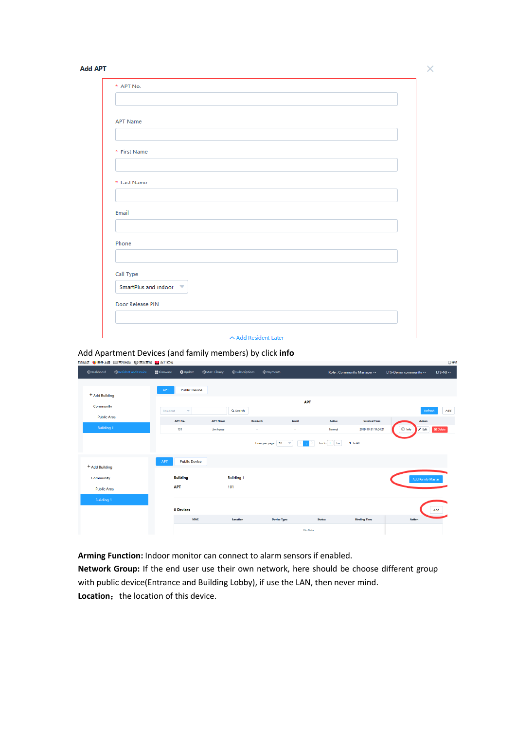#### **Add APT**

| <b>APT Name</b>      |  |  |
|----------------------|--|--|
|                      |  |  |
|                      |  |  |
| * First Name         |  |  |
|                      |  |  |
|                      |  |  |
| * Last Name          |  |  |
|                      |  |  |
| Email                |  |  |
|                      |  |  |
|                      |  |  |
| Phone                |  |  |
|                      |  |  |
|                      |  |  |
| Call Type            |  |  |
| SmartPlus and indoor |  |  |
| Door Release PIN     |  |  |
|                      |  |  |
|                      |  |  |

### Add Apartment Devices (and family members) by click **info**

|                           | 【方站点 ● 新手上路 □ 常用网址 ↓ 京东商城 ■ 双11红包 |                   |                          |                     |                           |                     |                          |               |                           |                           | 口移                               |  |  |
|---------------------------|-----------------------------------|-------------------|--------------------------|---------------------|---------------------------|---------------------|--------------------------|---------------|---------------------------|---------------------------|----------------------------------|--|--|
| <b>袋Dashboard</b>         | 83 Resident and Device            | <b>탑 Firmware</b> | <b>Q</b> Update          | <b>您MAC Library</b> | <b>&amp;Subscriptions</b> | <b>您Payments</b>    |                          |               | Role: Community Manager ~ | LTS-Demo community $\sim$ | $LTS-NJ \sim$                    |  |  |
|                           |                                   | <b>APT</b>        | <b>Public Device</b>     |                     |                           |                     |                          |               |                           |                           |                                  |  |  |
| <sup>+</sup> Add Building |                                   |                   |                          |                     |                           |                     |                          |               |                           |                           |                                  |  |  |
|                           | Community                         |                   | $\overline{\phantom{a}}$ |                     | Q Search                  | <b>APT</b>          |                          |               |                           | Refresh                   |                                  |  |  |
| <b>Public Area</b>        |                                   |                   | APT No.                  | <b>APT Name</b>     |                           | <b>Resident</b>     | Email                    | Active        | <b>Created Time</b>       |                           | Action                           |  |  |
| <b>Building 1</b>         |                                   |                   | 101                      | jim house           |                           | $\sim$              | $\sim$                   | Normal        | 2019-10-31 14:04:21       | 1 Info                    | <b>B</b> Delete<br>$\angle$ Edit |  |  |
|                           |                                   |                   |                          |                     |                           | Lines per page   10 | $\overline{\phantom{a}}$ | Go to 1 Go    | 1 In All                  |                           |                                  |  |  |
| + Add Building            |                                   | APT               | <b>Public Device</b>     |                     |                           |                     |                          |               |                           |                           |                                  |  |  |
|                           |                                   |                   |                          |                     |                           |                     |                          |               |                           |                           |                                  |  |  |
| Community                 |                                   |                   | <b>Building</b>          |                     | <b>Building 1</b>         |                     |                          |               |                           |                           | <b>Add Family Master</b>         |  |  |
| <b>Public Area</b>        |                                   |                   | <b>APT</b>               |                     | 101                       |                     |                          |               |                           |                           |                                  |  |  |
| <b>Building 1</b>         |                                   |                   |                          |                     |                           |                     |                          |               |                           |                           |                                  |  |  |
|                           |                                   |                   | 0 Devices                |                     |                           |                     |                          |               |                           |                           | Add                              |  |  |
|                           |                                   |                   | <b>MAC</b>               |                     | Location                  | <b>Device Type</b>  |                          | <b>Status</b> | <b>Binding Time</b>       | Action                    |                                  |  |  |
|                           |                                   |                   |                          |                     |                           |                     | No Data                  |               |                           |                           |                                  |  |  |

**Arming Function:** Indoor monitor can connect to alarm sensors if enabled.

**Network Group:** If the end user use their own network, here should be choose different group with public device(Entrance and Building Lobby), if use the LAN, then never mind. **Location:** the location of this device.

 $\times$